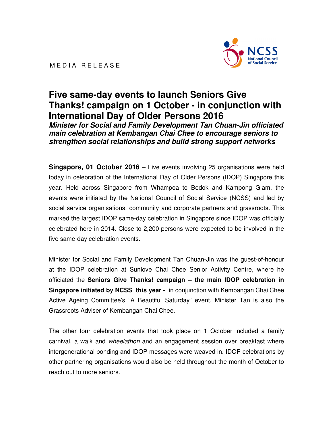

# **Five same-day events to launch Seniors Give Thanks! campaign on 1 October - in conjunction with International Day of Older Persons 2016**

**Minister for Social and Family Development Tan Chuan-Jin officiated main celebration at Kembangan Chai Chee to encourage seniors to strengthen social relationships and build strong support networks** 

**Singapore, 01 October 2016** – Five events involving 25 organisations were held today in celebration of the International Day of Older Persons (IDOP) Singapore this year. Held across Singapore from Whampoa to Bedok and Kampong Glam, the events were initiated by the National Council of Social Service (NCSS) and led by social service organisations, community and corporate partners and grassroots. This marked the largest IDOP same-day celebration in Singapore since IDOP was officially celebrated here in 2014. Close to 2,200 persons were expected to be involved in the five same-day celebration events.

Minister for Social and Family Development Tan Chuan-Jin was the guest-of-honour at the IDOP celebration at Sunlove Chai Chee Senior Activity Centre, where he officiated the **Seniors Give Thanks! campaign – the main IDOP celebration in Singapore initiated by NCSS this year -** in conjunction with Kembangan Chai Chee Active Ageing Committee's "A Beautiful Saturday" event. Minister Tan is also the Grassroots Adviser of Kembangan Chai Chee.

The other four celebration events that took place on 1 October included a family carnival, a walk and *wheelathon* and an engagement session over breakfast where intergenerational bonding and IDOP messages were weaved in. IDOP celebrations by other partnering organisations would also be held throughout the month of October to reach out to more seniors.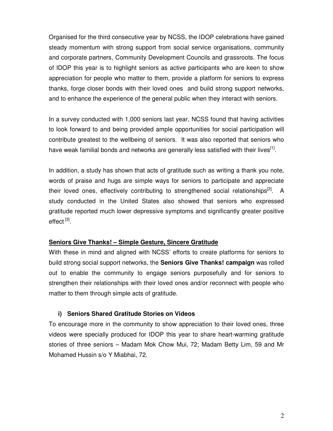Organised for the third consecutive year by NCSS, the IDOP celebrations have gained steady momentum with strong support from social service organisations, community and corporate partners, Community Development Councils and grassroots. The focus of IDOP this year is to highlight seniors as active participants who are keen to show appreciation for people who matter to them, provide a platform for seniors to express thanks, forge closer bonds with their loved ones and build strong support networks, and to enhance the experience of the general public when they interact with seniors.

In a survey conducted with 1,000 seniors last year, NCSS found that having activities to look forward to and being provided ample opportunities for social participation will contribute greatest to the wellbeing of seniors. It was also reported that seniors who have weak familial bonds and networks are generally less satisfied with their lives<sup>[1]</sup>.

In addition, a study has shown that acts of gratitude such as writing a thank you note, words of praise and hugs are simple ways for seniors to participate and appreciate their loved ones, effectively contributing to strengthened social relationships<sup>[2]</sup>. A study conducted in the United States also showed that seniors who expressed gratitude reported much lower depressive symptoms and significantly greater positive effect <sup>[3]</sup>.

## **Seniors Give Thanks! – Simple Gesture, Sincere Gratitude**

With these in mind and aligned with NCSS' efforts to create platforms for seniors to build strong social support networks, the **Seniors Give Thanks! campaign** was rolled out to enable the community to engage seniors purposefully and for seniors to strengthen their relationships with their loved ones and/or reconnect with people who matter to them through simple acts of gratitude.

## **i) Seniors Shared Gratitude Stories on Videos**

To encourage more in the community to show appreciation to their loved ones, three videos were specially produced for IDOP this year to share heart-warming gratitude stories of three seniors – Madam Mok Chow Mui, 72; Madam Betty Lim, 59 and Mr Mohamed Hussin s/o Y Miabhai, 72.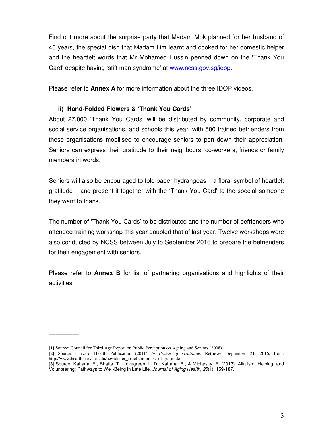Find out more about the surprise party that Madam Mok planned for her husband of 46 years, the special dish that Madam Lim learnt and cooked for her domestic helper and the heartfelt words that Mr Mohamed Hussin penned down on the 'Thank You Card' despite having 'stiff man syndrome' at www.ncss.gov.sg/idop.

Please refer to **Annex A** for more information about the three IDOP videos.

## **ii) Hand-Folded Flowers & 'Thank You Cards'**

About 27,000 'Thank You Cards' will be distributed by community, corporate and social service organisations, and schools this year, with 500 trained befrienders from these organisations mobilised to encourage seniors to pen down their appreciation. Seniors can express their gratitude to their neighbours, co-workers, friends or family members in words.

Seniors will also be encouraged to fold paper hydrangeas – a floral symbol of heartfelt gratitude – and present it together with the 'Thank You Card' to the special someone they want to thank.

The number of 'Thank You Cards' to be distributed and the number of befrienders who attended training workshop this year doubled that of last year. Twelve workshops were also conducted by NCSS between July to September 2016 to prepare the befrienders for their engagement with seniors.

Please refer to **Annex B** for list of partnering organisations and highlights of their activities.

\_\_\_\_\_\_\_\_\_

<sup>[1]</sup> Source: Council for Third Age Report on Public Perception on Ageing and Seniors (2008)

<sup>[2]</sup> Source: Harvard Health Publication (2011) *In Praise of Gratitude.* Retrieved September 21, 2016, from: http://www.health.harvard.edu/newsletter\_article/in-praise-of-gratitude

<sup>[3]</sup> Source: Kahana, E., Bhatta, T., Lovegreen, L. D., Kahana, B., & Midlarsky, E. (2013). Altruism, Helping, and Volunteering: Pathways to Well-Being in Late Life. Journal of Aging Health, 25(1), 159-187.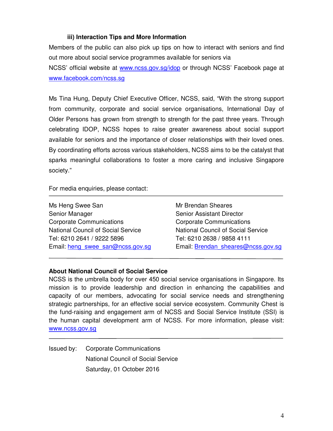#### **iii) Interaction Tips and More Information**

Members of the public can also pick up tips on how to interact with seniors and find out more about social service programmes available for seniors via NCSS' official website at www.ncss.gov.sg/idop or through NCSS' Facebook page at www.facebook.com/ncss.sg

Ms Tina Hung, Deputy Chief Executive Officer, NCSS, said, "With the strong support from community, corporate and social service organisations, International Day of Older Persons has grown from strength to strength for the past three years. Through celebrating IDOP, NCSS hopes to raise greater awareness about social support available for seniors and the importance of closer relationships with their loved ones. By coordinating efforts across various stakeholders, NCSS aims to be the catalyst that sparks meaningful collaborations to foster a more caring and inclusive Singapore society."

For media enquiries, please contact:

Ms Heng Swee San Senior Manager Corporate Communications National Council of Social Service Tel: 6210 2641 / 9222 5896 Email: heng\_swee\_san@ncss.gov.sg

Mr Brendan Sheares Senior Assistant Director Corporate Communications National Council of Social Service Tel: 6210 2638 / 9858 4111 Email: Brendan\_sheares@ncss.gov.sg

## **About National Council of Social Service**

NCSS is the umbrella body for over 450 social service organisations in Singapore. Its mission is to provide leadership and direction in enhancing the capabilities and capacity of our members, advocating for social service needs and strengthening strategic partnerships, for an effective social service ecosystem. Community Chest is the fund-raising and engagement arm of NCSS and Social Service Institute (SSI) is the human capital development arm of NCSS. For more information, please visit: www.ncss.gov.sg

Issued by: Corporate Communications National Council of Social Service Saturday, 01 October 2016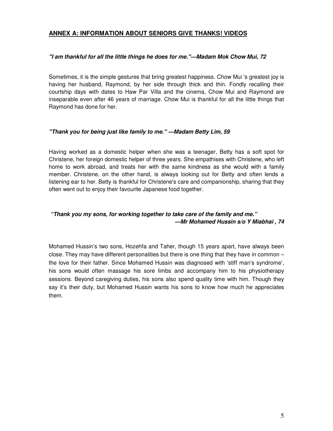#### **ANNEX A: INFORMATION ABOUT SENIORS GIVE THANKS! VIDEOS**

#### **"I am thankful for all the little things he does for me."—Madam Mok Chow Mui, 72**

Sometimes, it is the simple gestures that bring greatest happiness. Chow Mui 's greatest joy is having her husband, Raymond, by her side through thick and thin. Fondly recalling their courtship days with dates to Haw Par Villa and the cinema, Chow Mui and Raymond are inseparable even after 46 years of marriage. Chow Mui is thankful for all the little things that Raymond has done for her.

#### **"Thank you for being just like family to me." —Madam Betty Lim, 59**

Having worked as a domestic helper when she was a teenager, Betty has a soft spot for Christene, her foreign domestic helper of three years. She empathises with Christene, who left home to work abroad, and treats her with the same kindness as she would with a family member. Christene, on the other hand, is always looking out for Betty and often lends a listening ear to her. Betty is thankful for Christene's care and companionship, sharing that they often went out to enjoy their favourite Japanese food together.

#### **"Thank you my sons, for working together to take care of the family and me." —Mr Mohamed Hussin s/o Y Miabhai , 74**

Mohamed Hussin's two sons, Hozehfa and Taher, though 15 years apart, have always been close. They may have different personalities but there is one thing that they have in common – the love for their father. Since Mohamed Hussin was diagnosed with 'stiff man's syndrome', his sons would often massage his sore limbs and accompany him to his physiotherapy sessions. Beyond caregiving duties, his sons also spend quality time with him. Though they say it's their duty, but Mohamed Hussin wants his sons to know how much he appreciates them.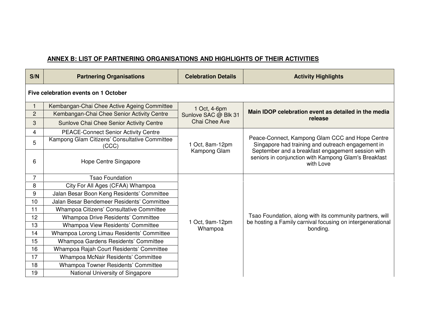# **ANNEX B: LIST OF PARTNERING ORGANISATIONS AND HIGHLIGHTS OF THEIR ACTIVITIES**

| S/N            | <b>Partnering Organisations</b>                        | <b>Celebration Details</b>                            | <b>Activity Highlights</b>                                                                                                                                                                                                     |  |  |  |  |
|----------------|--------------------------------------------------------|-------------------------------------------------------|--------------------------------------------------------------------------------------------------------------------------------------------------------------------------------------------------------------------------------|--|--|--|--|
|                | Five celebration events on 1 October                   |                                                       |                                                                                                                                                                                                                                |  |  |  |  |
|                | Kembangan-Chai Chee Active Ageing Committee            | 1 Oct, 4-6pm<br>Sunlove SAC @ Blk 31<br>Chai Chee Ave | Main IDOP celebration event as detailed in the media<br>release                                                                                                                                                                |  |  |  |  |
| $\overline{2}$ | Kembangan-Chai Chee Senior Activity Centre             |                                                       |                                                                                                                                                                                                                                |  |  |  |  |
| 3              | Sunlove Chai Chee Senior Activity Centre               |                                                       |                                                                                                                                                                                                                                |  |  |  |  |
| $\overline{4}$ | <b>PEACE-Connect Senior Activity Centre</b>            |                                                       | Peace-Connect, Kampong Glam CCC and Hope Centre<br>Singapore had training and outreach engagement in<br>September and a breakfast engagement session with<br>seniors in conjunction with Kampong Glam's Breakfast<br>with Love |  |  |  |  |
| 5              | Kampong Glam Citizens' Consultative Committee<br>(CCC) | 1 Oct, 8am-12pm<br>Kampong Glam                       |                                                                                                                                                                                                                                |  |  |  |  |
| 6              | Hope Centre Singapore                                  |                                                       |                                                                                                                                                                                                                                |  |  |  |  |
| $\overline{7}$ | <b>Tsao Foundation</b>                                 |                                                       | Tsao Foundation, along with its community partners, will<br>be hosting a Family carnival focusing on intergenerational<br>bonding.                                                                                             |  |  |  |  |
| 8              | City For All Ages (CFAA) Whampoa                       |                                                       |                                                                                                                                                                                                                                |  |  |  |  |
| 9              | Jalan Besar Boon Keng Residents' Committee             |                                                       |                                                                                                                                                                                                                                |  |  |  |  |
| 10             | Jalan Besar Bendemeer Residents' Committee             |                                                       |                                                                                                                                                                                                                                |  |  |  |  |
| 11             | Whampoa Citizens' Consultative Committee               |                                                       |                                                                                                                                                                                                                                |  |  |  |  |
| 12             | Whampoa Drive Residents' Committee                     | 1 Oct, 9am-12pm<br>Whampoa                            |                                                                                                                                                                                                                                |  |  |  |  |
| 13             | Whampoa View Residents' Committee                      |                                                       |                                                                                                                                                                                                                                |  |  |  |  |
| 14             | Whampoa Lorong Limau Residents' Committee              |                                                       |                                                                                                                                                                                                                                |  |  |  |  |
| 15             | Whampoa Gardens Residents' Committee                   |                                                       |                                                                                                                                                                                                                                |  |  |  |  |
| 16             | Whampoa Rajah Court Residents' Committee               |                                                       |                                                                                                                                                                                                                                |  |  |  |  |
| 17             | Whampoa McNair Residents' Committee                    |                                                       |                                                                                                                                                                                                                                |  |  |  |  |
| 18             | Whampoa Towner Residents' Committee                    |                                                       |                                                                                                                                                                                                                                |  |  |  |  |
| 19             | National University of Singapore                       |                                                       |                                                                                                                                                                                                                                |  |  |  |  |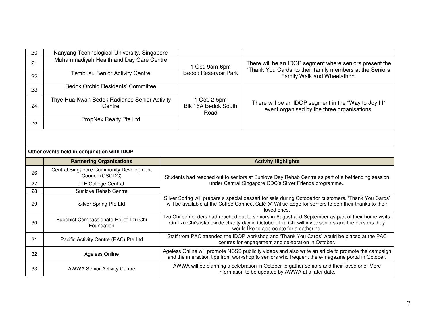| 20                                         | Nanyang Technological University, Singapore                       |                                               |                                             |                                                                                                                                                                                                                                                       |  |  |  |
|--------------------------------------------|-------------------------------------------------------------------|-----------------------------------------------|---------------------------------------------|-------------------------------------------------------------------------------------------------------------------------------------------------------------------------------------------------------------------------------------------------------|--|--|--|
| 21                                         | Muhammadiyah Health and Day Care Centre                           | 1 Oct, 9am-6pm<br><b>Bedok Reservoir Park</b> |                                             | There will be an IDOP segment where seniors present the<br>'Thank You Cards' to their family members at the Seniors<br>Family Walk and Wheelathon.                                                                                                    |  |  |  |
| 22                                         | <b>Tembusu Senior Activity Centre</b>                             |                                               |                                             |                                                                                                                                                                                                                                                       |  |  |  |
| 23                                         | <b>Bedok Orchid Residents' Committee</b>                          |                                               |                                             |                                                                                                                                                                                                                                                       |  |  |  |
| 24                                         | Thye Hua Kwan Bedok Radiance Senior Activity<br>Centre            |                                               | 1 Oct, 2-5pm<br>Blk 15A Bedok South<br>Road | There will be an IDOP segment in the "Way to Joy III"<br>event organised by the three organisations.                                                                                                                                                  |  |  |  |
| 25                                         | PropNex Realty Pte Ltd                                            |                                               |                                             |                                                                                                                                                                                                                                                       |  |  |  |
|                                            |                                                                   |                                               |                                             |                                                                                                                                                                                                                                                       |  |  |  |
| Other events held in conjunction with IDOP |                                                                   |                                               |                                             |                                                                                                                                                                                                                                                       |  |  |  |
|                                            |                                                                   |                                               |                                             | <b>Activity Highlights</b>                                                                                                                                                                                                                            |  |  |  |
|                                            | <b>Partnering Organisations</b>                                   |                                               |                                             |                                                                                                                                                                                                                                                       |  |  |  |
| 26                                         | <b>Central Singapore Community Development</b><br>Council (CSCDC) |                                               |                                             | Students had reached out to seniors at Sunlove Day Rehab Centre as part of a befriending session                                                                                                                                                      |  |  |  |
| 27                                         | <b>ITE College Central</b>                                        |                                               |                                             | under Central Singapore CDC's Silver Friends programme                                                                                                                                                                                                |  |  |  |
| 28                                         | Sunlove Rehab Centre                                              |                                               |                                             |                                                                                                                                                                                                                                                       |  |  |  |
| 29                                         | Silver Spring Pte Ltd                                             |                                               |                                             | Silver Spring will prepare a special dessert for sale during Octoberfor customers. 'Thank You Cards'<br>will be available at the Coffee Connect Café @ Wilkie Edge for seniors to pen their thanks to their<br>loved ones.                            |  |  |  |
| 30                                         | Buddhist Compassionate Relief Tzu Chi<br>Foundation               |                                               |                                             | Tzu Chi befrienders had reached out to seniors in August and September as part of their home visits.<br>On Tzu Chi's islandwide charity day in October, Tzu Chi will invite seniors and the persons they<br>would like to appreciate for a gathering. |  |  |  |
| 31                                         | Pacific Activity Centre (PAC) Pte Ltd                             |                                               |                                             | Staff from PAC attended the IDOP workshop and 'Thank You Cards' would be placed at the PAC<br>centres for engagement and celebration in October.                                                                                                      |  |  |  |
| 32                                         | Ageless Online                                                    |                                               |                                             | Ageless Online will promote NCSS publicity videos and also write an article to promote the campaign<br>and the interaction tips from workshop to seniors who frequent the e-magazine portal in October.                                               |  |  |  |